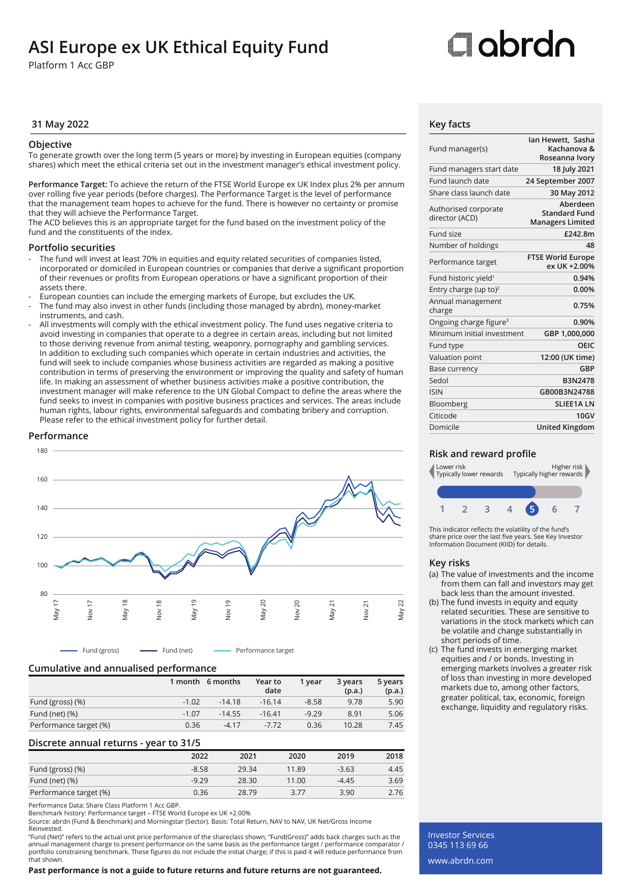## **ASI Europe ex UK Ethical Equity Fund**

Platform 1 Acc GBP

# ⊡obrdo

### **31 May 2022 Key facts**

### **Objective**

To generate growth over the long term (5 years or more) by investing in European equities (company shares) which meet the ethical criteria set out in the investment manager's ethical investment policy.

**Performance Target:** To achieve the return of the FTSE World Europe ex UK Index plus 2% per annum over rolling five year periods (before charges). The Performance Target is the level of performance that the management team hopes to achieve for the fund. There is however no certainty or promise that they will achieve the Performance Target.

The ACD believes this is an appropriate target for the fund based on the investment policy of the fund and the constituents of the index.

### **Portfolio securities**

- The fund will invest at least 70% in equities and equity related securities of companies listed, incorporated or domiciled in European countries or companies that derive a significant proportion of their revenues or profits from European operations or have a significant proportion of their assets there.
- European counties can include the emerging markets of Europe, but excludes the UK. The fund may also invest in other funds (including those managed by abrdn), money-market
- instruments, and cash.
- All investments will comply with the ethical investment policy. The fund uses negative criteria to avoid investing in companies that operate to a degree in certain areas, including but not limited to those deriving revenue from animal testing, weaponry, pornography and gambling services. In addition to excluding such companies which operate in certain industries and activities, the fund will seek to include companies whose business activities are regarded as making a positive contribution in terms of preserving the environment or improving the quality and safety of human life. In making an assessment of whether business activities make a positive contribution, the investment manager will make reference to the UN Global Compact to define the areas where the fund seeks to invest in companies with positive business practices and services. The areas include human rights, labour rights, environmental safeguards and combating bribery and corruption. Please refer to the ethical investment policy for further detail.

### **Performance**



Fund (gross) **Fund (net)** Performance target

### **Cumulative and annualised performance**

|                        | 1 month | 6 months | Year to<br>date | 1 vear  | 3 years<br>(p.a.) | 5 years<br>(p.a.) |
|------------------------|---------|----------|-----------------|---------|-------------------|-------------------|
| Fund (gross) (%)       | $-1.02$ | $-14.18$ | $-16.14$        | $-8.58$ | 9.78              | 5.90              |
| Fund (net) $(\%)$      | $-1.07$ | $-14.55$ | $-16.41$        | $-9.29$ | 8.91              | 5.06              |
| Performance target (%) | 0.36    | $-4.17$  | $-7.72$         | 0.36    | 10.28             | 7.45              |

### **Discrete annual returns - year to 31/5**

|                        | 2022    | 2021  | 2020  | 2019    | 2018 |
|------------------------|---------|-------|-------|---------|------|
| Fund (gross) (%)       | $-8.58$ | 29.34 | 11.89 | $-3.63$ | 4.45 |
| Fund (net) (%)         | $-9.29$ | 28.30 | 11.00 | $-4.45$ | 3.69 |
| Performance target (%) | 0.36    | 28.79 | 3.77  | 3.90    | 2.76 |

Performance Data: Share Class Platform 1 Acc GBP.

Benchmark history: Performance target – FTSE World Europe ex UK +2.00%

Source: abrdn (Fund & Benchmark) and Morningstar (Sector). Basis: Total Return, NAV to NAV, UK Net/Gross Income Reinvested.

"Fund (Net)" refers to the actual unit price performance of the shareclass shown; "Fund(Gross)" adds back charges such as the annual management charge to present performance on the same basis as the performance target / performance comparator /<br>portfolio constraining benchmark. These figures do not include the initial charge; if this is paid it w that shown.

### **Past performance is not a guide to future returns and future returns are not guaranteed.**

| Fund manager(s)                        | lan Hewett, Sasha<br>Kachanova &<br>Roseanna Ivory          |
|----------------------------------------|-------------------------------------------------------------|
| Fund managers start date               | 18 July 2021                                                |
| Fund launch date                       | 24 September 2007                                           |
| Share class launch date                | 30 May 2012                                                 |
| Authorised corporate<br>director (ACD) | Aberdeen<br><b>Standard Fund</b><br><b>Managers Limited</b> |
| Fund size                              | £242.8m                                                     |
| Number of holdings                     | 48                                                          |
| Performance target                     | <b>FTSE World Europe</b><br>ex UK +2.00%                    |
| Fund historic yield <sup>1</sup>       | 0.94%                                                       |
| Entry charge (up to) <sup>2</sup>      | 0.00%                                                       |
| Annual management<br>charge            | 0.75%                                                       |
| Ongoing charge figure <sup>3</sup>     | 0.90%                                                       |
| Minimum initial investment             | GBP 1,000,000                                               |
| Fund type                              | OEIC                                                        |
| <b>Valuation point</b>                 | 12:00 (UK time)                                             |
| Base currency                          | GBP                                                         |
| Sedol                                  | <b>B3N2478</b>                                              |
| <b>ISIN</b>                            | GB00B3N24788                                                |
| Bloomberg                              | <b>SLIEE1ALN</b>                                            |
| Citicode                               | <b>10GV</b>                                                 |
| Domicile                               | <b>United Kingdom</b>                                       |

### **Risk and reward profile**



This indicator reflects the volatility of the fund's share price over the last five years. See Key Investor Information Document (KIID) for details.

### **Key risks**

- (a) The value of investments and the income from them can fall and investors may get back less than the amount invested.
- (b) The fund invests in equity and equity related securities. These are sensitive to variations in the stock markets which can be volatile and change substantially in short periods of time.
- (c) The fund invests in emerging market equities and / or bonds. Investing in emerging markets involves a greater risk of loss than investing in more developed markets due to, among other factors, greater political, tax, economic, foreign exchange, liquidity and regulatory risks.

Investor Services 0345 113 69 66 www.abrdn.com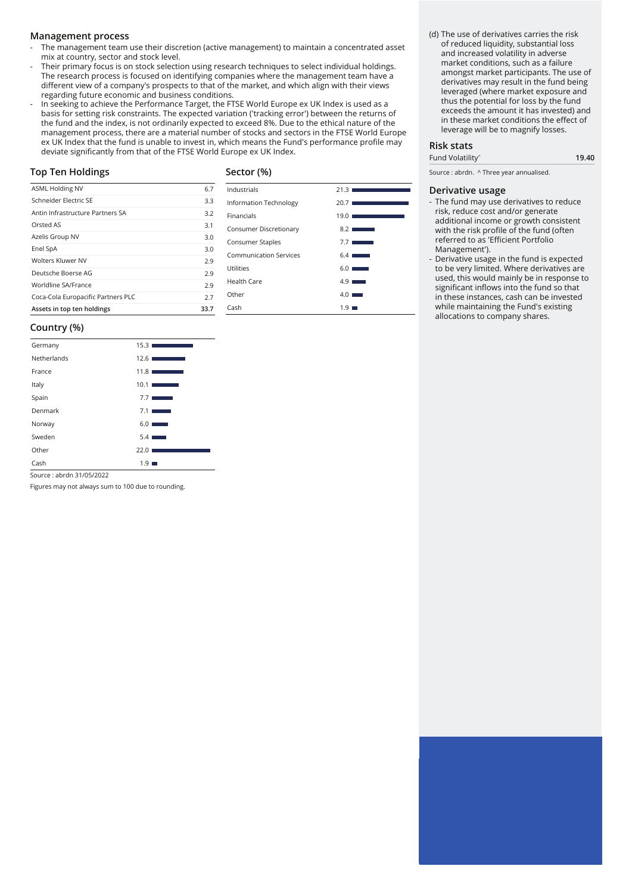### **Management process**

- The management team use their discretion (active management) to maintain a concentrated asset mix at country, sector and stock level.
- Their primary focus is on stock selection using research techniques to select individual holdings. The research process is focused on identifying companies where the management team have a different view of a company's prospects to that of the market, and which align with their views regarding future economic and business conditions.
- In seeking to achieve the Performance Target, the FTSE World Europe ex UK Index is used as a basis for setting risk constraints. The expected variation ('tracking error') between the returns of the fund and the index, is not ordinarily expected to exceed 8%. Due to the ethical nature of the management process, there are a material number of stocks and sectors in the FTSE World Europe ex UK Index that the fund is unable to invest in, which means the Fund's performance profile may deviate significantly from that of the FTSE World Europe ex UK Index.

### **Top Ten Holdings**

### **Sector (%)**

| ASML Holding NV                    | 6.7  | Industrials                   | 21.31                                           |
|------------------------------------|------|-------------------------------|-------------------------------------------------|
| Schneider Electric SE              | 3.3  | <b>Information Technology</b> | 20.7                                            |
| Antin Infrastructure Partners SA   | 3.2  | Financials                    | 19.01                                           |
| Orsted AS                          | 3.1  | Consumer Discretionary        | $8.2$ I<br><b>Service State</b>                 |
| Azelis Group NV                    | 3.0  | Consumer Staples              | 7.71<br>$\mathcal{L}^{\text{max}}_{\text{max}}$ |
| Enel SpA                           | 3.0  | <b>Communication Services</b> | $6.4 \square$<br><b>STATISTICS</b>              |
| Wolters Kluwer NV                  | 2.9  |                               |                                                 |
| Deutsche Boerse AG                 | 2.9  | Utilities                     | $6.0 \square$<br><b>STATISTICS</b>              |
| Worldline SA/France                | 2.9  | Health Care                   | $4.9$ $\blacksquare$                            |
| Coca-Cola Europacific Partners PLC | 2.7  | Other                         | $4.0$ $\blacksquare$                            |
| Assets in top ten holdings         | 33.7 | Cash                          | $1.9$ $\blacksquare$                            |
|                                    |      |                               |                                                 |

### **Country (%)**

| Germany     | 15.3 <sub>1</sub>                 |
|-------------|-----------------------------------|
| Netherlands | 12.61<br><b>Contract Contract</b> |
| France      | 11.81                             |
| Italy       | 10.1<br>and the control of the    |
| Spain       | 7.7                               |
| Denmark     | 7.1                               |
| Norway      | 6.01<br><b>STATISTICS</b>         |
| Sweden      | 5.4 <sub>1</sub>                  |
| Other       | 22.0                              |
| Cash        | 1.9                               |

Source : abrdn 31/05/2022

Figures may not always sum to 100 due to rounding.

(d) The use of derivatives carries the risk of reduced liquidity, substantial loss and increased volatility in adverse market conditions, such as a failure amongst market participants. The use of derivatives may result in the fund being leveraged (where market exposure and thus the potential for loss by the fund exceeds the amount it has invested) and in these market conditions the effect of leverage will be to magnify losses.

### **Risk stats**

| Fund Volatility <sup>^</sup> | 19.40 |
|------------------------------|-------|

Source : abrdn. ^ Three year annualised.

### **Derivative usage**

- The fund may use derivatives to reduce risk, reduce cost and/or generate additional income or growth consistent with the risk profile of the fund (often referred to as 'Efficient Portfolio Management').
- Derivative usage in the fund is expected to be very limited. Where derivatives are used, this would mainly be in response to significant inflows into the fund so that in these instances, cash can be invested while maintaining the Fund's existing allocations to company shares.